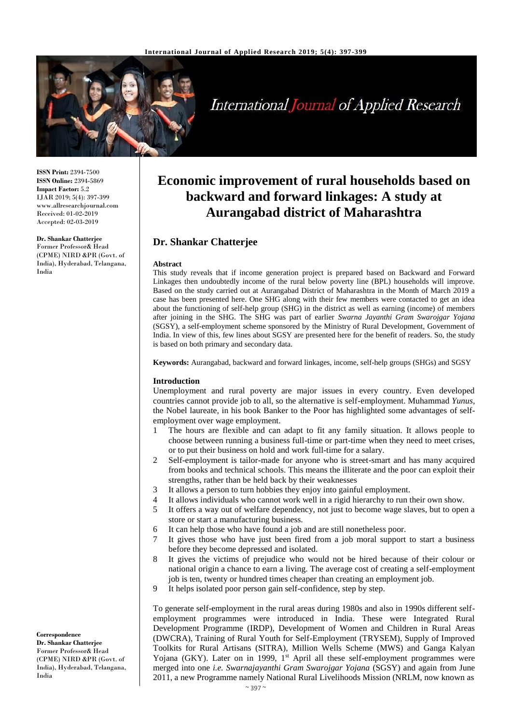

# **International Journal of Applied Research**

**ISSN Print:** 2394-7500 **ISSN Online:** 2394-5869 **Impact Factor:** 5.2 IJAR 2019; 5(4): 397-399 www.allresearchjournal.com Received: 01-02-2019 Accepted: 02-03-2019

**Dr. Shankar Chatterjee** Former Professor& Head (CPME) NIRD &PR (Govt. of India), Hyderabad, Telangana, India

**Economic improvement of rural households based on backward and forward linkages: A study at Aurangabad district of Maharashtra**

# **Dr. Shankar Chatterjee**

#### **Abstract**

This study reveals that if income generation project is prepared based on Backward and Forward Linkages then undoubtedly income of the rural below poverty line (BPL) households will improve. Based on the study carried out at Aurangabad District of Maharashtra in the Month of March 2019 a case has been presented here. One SHG along with their few members were contacted to get an idea about the functioning of self-help group (SHG) in the district as well as earning (income) of members after joining in the SHG. The SHG was part of earlier *Swarna Jayanthi Gram Swarojgar Yojana* (SGSY), a self-employment scheme sponsored by the Ministry of Rural Development, Government of India. In view of this, few lines about SGSY are presented here for the benefit of readers. So, the study is based on both primary and secondary data.

**Keywords:** Aurangabad, backward and forward linkages, income, self-help groups (SHGs) and SGSY

#### **Introduction**

Unemployment and rural poverty are major issues in every country. Even developed countries cannot provide job to all, so the alternative is self-employment. Muhammad *Yunus*, the Nobel laureate, in his book Banker to the Poor has highlighted some advantages of selfemployment over wage employment.

- 1 The hours are flexible and can adapt to fit any family situation. It allows people to choose between running a business full-time or part-time when they need to meet crises, or to put their business on hold and work full-time for a salary.
- 2 Self-employment is tailor-made for anyone who is street-smart and has many acquired from books and technical schools. This means the illiterate and the poor can exploit their strengths, rather than be held back by their weaknesses
- 3 It allows a person to turn hobbies they enjoy into gainful employment.
- 4 It allows individuals who cannot work well in a rigid hierarchy to run their own show.
- 5 It offers a way out of welfare dependency, not just to become wage slaves, but to open a store or start a manufacturing business.
- 6 It can help those who have found a job and are still nonetheless poor.
- 7 It gives those who have just been fired from a job moral support to start a business before they become depressed and isolated.
- 8 It gives the victims of prejudice who would not be hired because of their colour or national origin a chance to earn a living. The average cost of creating a self-employment job is ten, twenty or hundred times cheaper than creating an employment job.
- 9 It helps isolated poor person gain self-confidence, step by step.

To generate self-employment in the rural areas during 1980s and also in 1990s different selfemployment programmes were introduced in India. These were Integrated Rural Development Programme (IRDP), Development of Women and Children in Rural Areas (DWCRA), Training of Rural Youth for Self-Employment (TRYSEM), Supply of Improved Toolkits for Rural Artisans (SITRA), Million Wells Scheme (MWS) and Ganga Kalyan Yojana (GKY). Later on in 1999, 1<sup>st</sup> April all these self-employment programmes were merged into one *i.e. Swarnajayanthi Gram Swarojgar Yojana* (SGSY) and again from June 2011, a new Programme namely National Rural Livelihoods Mission (NRLM, now known as

**Correspondence Dr. Shankar Chatterjee** Former Professor& Head (CPME) NIRD &PR (Govt. of India), Hyderabad, Telangana, India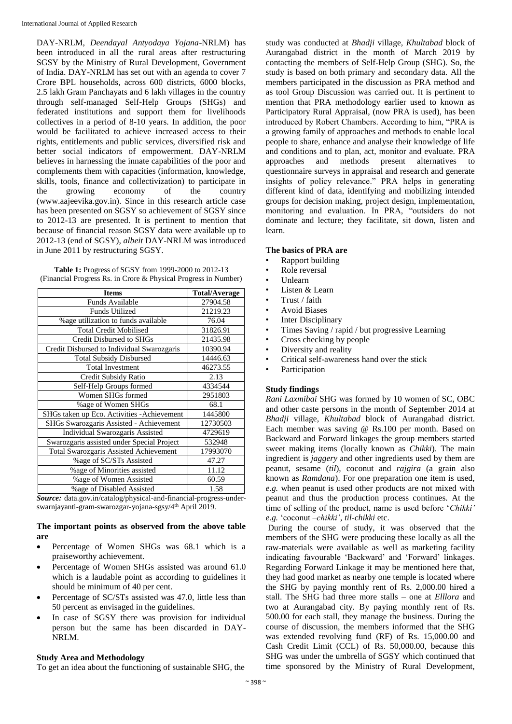DAY-NRLM, *Deendayal Antyodaya Yojana*-NRLM) has been introduced in all the rural areas after restructuring SGSY by the Ministry of Rural Development, Government of India. DAY-NRLM has set out with an agenda to cover 7 Crore BPL households, across 600 districts, 6000 blocks, 2.5 lakh Gram Panchayats and 6 lakh villages in the country through self-managed Self-Help Groups (SHGs) and federated institutions and support them for livelihoods collectives in a period of 8-10 years. In addition, the poor would be facilitated to achieve increased access to their rights, entitlements and public services, diversified risk and better social indicators of empowerment. DAY-NRLM believes in harnessing the innate capabilities of the poor and complements them with capacities (information, knowledge, skills, tools, finance and collectivization) to participate in the growing economy of the country (www.aajeevika.gov.in). Since in this research article case has been presented on SGSY so achievement of SGSY since to 2012-13 are presented. It is pertinent to mention that because of financial reason SGSY data were available up to 2012-13 (end of SGSY), *albeit* DAY-NRLM was introduced in June 2011 by restructuring SGSY.

| <b>Table 1:</b> Progress of SGSY from 1999-2000 to 2012-13      |  |
|-----------------------------------------------------------------|--|
| (Financial Progress Rs. in Crore & Physical Progress in Number) |  |

| <b>Items</b>                                  | <b>Total/Average</b> |
|-----------------------------------------------|----------------------|
| <b>Funds Available</b>                        | 27904.58             |
| <b>Funds Utilized</b>                         | 21219.23             |
| % age utilization to funds available          | 76.04                |
| <b>Total Credit Mobilised</b>                 | 31826.91             |
| Credit Disbursed to SHGs                      | 21435.98             |
| Credit Disbursed to Individual Swarozgaris    | 10390.94             |
| <b>Total Subsidy Disbursed</b>                | 14446.63             |
| <b>Total Investment</b>                       | 46273.55             |
| Credit Subsidy Ratio                          | 2.13                 |
| Self-Help Groups formed                       | 4334544              |
| Women SHGs formed                             | 2951803              |
| %age of Women SHGs                            | 68.1                 |
| SHGs taken up Eco. Activities - Achievement   | 1445800              |
| SHGs Swarozgaris Assisted - Achievement       | 12730503             |
| Individual Swarozgaris Assisted               | 4729619              |
| Swarozgaris assisted under Special Project    | 532948               |
| <b>Total Swarozgaris Assisted Achievement</b> | 17993070             |
| %age of SC/STs Assisted                       | 47.27                |
| %age of Minorities assisted                   | 11.12                |
| %age of Women Assisted                        | 60.59                |
| %age of Disabled Assisted                     | 1.58                 |

*Source:* data.gov.in/catalog/physical-and-financial-progress-underswarnjayanti-gram-swarozgar-yojana-sgsy/4th April 2019.

## **The important points as observed from the above table are**

- Percentage of Women SHGs was 68.1 which is a praiseworthy achievement.
- Percentage of Women SHGs assisted was around 61.0 which is a laudable point as according to guidelines it should be minimum of 40 per cent.
- Percentage of SC/STs assisted was 47.0, little less than 50 percent as envisaged in the guidelines.
- In case of SGSY there was provision for individual person but the same has been discarded in DAY-NRLM.

# **Study Area and Methodology**

To get an idea about the functioning of sustainable SHG, the

study was conducted at *Bhadji* village*, Khultabad* block of Aurangabad district in the month of March 2019 by contacting the members of Self-Help Group (SHG). So, the study is based on both primary and secondary data. All the members participated in the discussion as PRA method and as tool Group Discussion was carried out. It is pertinent to mention that PRA methodology earlier used to known as Participatory Rural Appraisal, (now PRA is used), has been introduced by Robert Chambers. According to him, "PRA is a growing family of approaches and methods to enable local people to share, enhance and analyse their knowledge of life and conditions and to plan, act, monitor and evaluate. PRA approaches and methods present alternatives to questionnaire surveys in appraisal and research and generate insights of policy relevance." PRA helps in generating different kind of data, identifying and mobilizing intended groups for decision making, project design, implementation, monitoring and evaluation. In PRA, "outsiders do not dominate and lecture; they facilitate, sit down, listen and learn.

## **The basics of PRA are**

- Rapport building
- Role reversal
- Unlearn
- Listen & Learn
- Trust / faith
- Avoid Biases
- **Inter Disciplinary**
- Times Saving / rapid / but progressive Learning
- Cross checking by people
- Diversity and reality
- Critical self-awareness hand over the stick
- **Participation**

# **Study findings**

*Rani Laxmibai* SHG was formed by 10 women of SC, OBC and other caste persons in the month of September 2014 at *Bhadji* village*, Khultabad* block of Aurangabad district. Each member was saving @ Rs.100 per month. Based on Backward and Forward linkages the group members started sweet making items (locally known as *Chikki*). The main ingredient is *jaggery* and other ingredients used by them are peanut, sesame (*til*), coconut and *rajgira* (a grain also known as *Ramdana*). For one preparation one item is used, *e.g.* when peanut is used other products are not mixed with peanut and thus the production process continues. At the time of selling of the product, name is used before '*Chikki' e.g.* 'coconut –*chikki'*, *til-chikki* etc.

During the course of study, it was observed that the members of the SHG were producing these locally as all the raw-materials were available as well as marketing facility indicating favourable 'Backward' and 'Forward' linkages. Regarding Forward Linkage it may be mentioned here that, they had good market as nearby one temple is located where the SHG by paying monthly rent of Rs. 2,000.00 hired a stall. The SHG had three more stalls – one at *Elllora* and two at Aurangabad city. By paying monthly rent of Rs. 500.00 for each stall, they manage the business. During the course of discussion, the members informed that the SHG was extended revolving fund (RF) of Rs. 15,000.00 and Cash Credit Limit (CCL) of Rs. 50,000.00, because this SHG was under the umbrella of SGSY which continued that time sponsored by the Ministry of Rural Development,